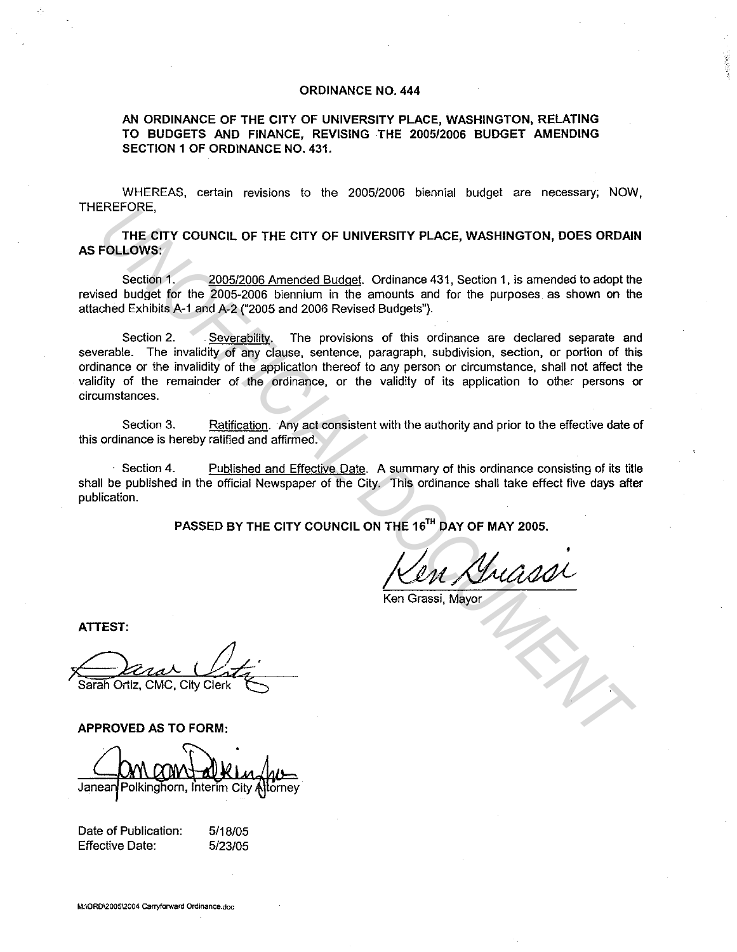## **ORDINANCE NO. 444**

**AN ORDINANCE OF THE CITY OF UNIVERSITY PLACE, WASHINGTON, RELATING TO BUDGETS AND FINANCE, REVISING THE 2005/2006 BUDGET AMENDING SECTION 1 OF ORDINANCE NO. 431.** 

WHEREAS, certain revisions to the 2005/2006 biennial budget are necessary; NOW, THEREFORE,

**THE CITY COUNCIL OF THE CITY OF UNIVERSITY PLACE, WASHINGTON, DOES ORDAIN AS FOLLOWS:** 

Section **1.** 2005/2006 Amended Budget. Ordinance 431, Section 1, is amended to adopt the revised budget for the 2005-2006 biennium in the amounts and for the purposes as shown on the attached Exhibits A-1 and A-2 ("2005 and 2006 Revised Budgets").

Section 2. Severabilitv. The provisions of this ordinance are declared separate and severable. The invalidity of any clause, sentence, paragraph, subdivision, section, or portion of this ordinance or the invalidity of the application thereof to any person or circumstance, shall not affect the validity of the remainder of the ordinance, or the validity of its application to other persons or circumstances. ENETORE,<br>
THE CITY COUNCIL OF THE CITY OF UNIVERSITY PLACE, WASHINGTON, DOES ORDAIT<br>
FOLLOWS:<br>
Section 1. <u>2005/2006 Armended Budgel</u>, Ordinance 431, Section 1, is amonded to adopt the<br>
section 1. <u>2005/2006</u> biennium in t

Section 3. Ratification. Any act consistent with the authority and prior to the effective date of this ordinance is hereby ratified and affirmed.

Section 4. Published and Effective Date. A summary of this ordinance consisting of its title shall be published in the official Newspaper of the City. This ordinance shall take effect five days after publication.

**PASSED BY THE CITY COUNCIL ON THE 161 " DAY OF MAY 2005.** 

Ken Grassi, Mayor

**ATTEST:** 

Sarah Ortiz, CMC, City Clerk

**APPROVED AS TO FORM:** 

Janear Polkinghorn, Interim City

| Date of Publication: | 5/18/05 |
|----------------------|---------|
| Effective Date:      | 5/23/05 |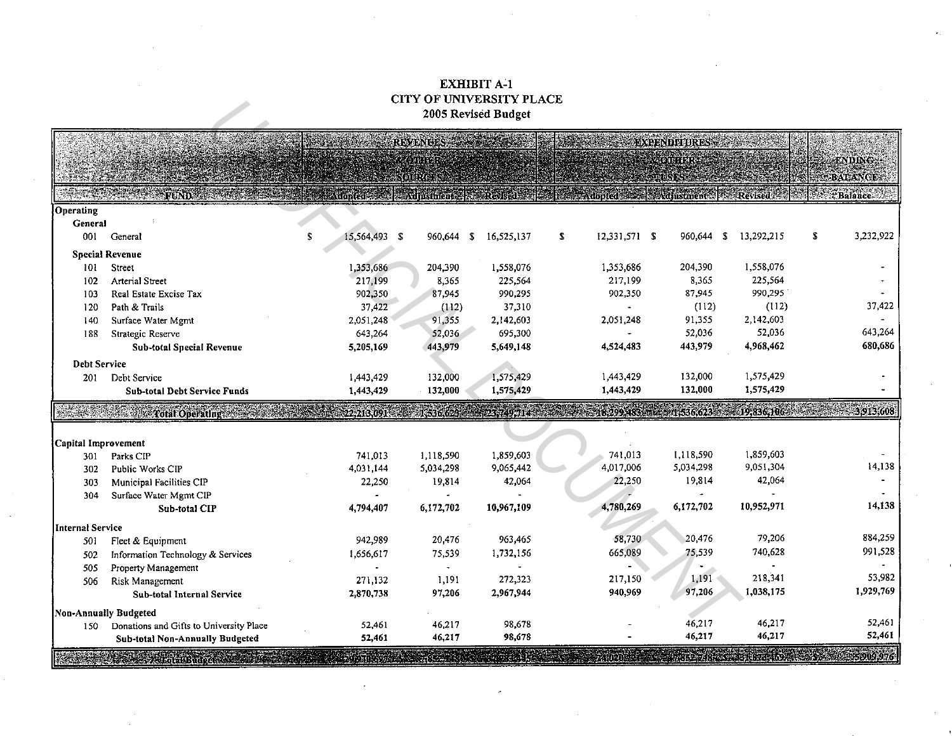## EXHIBIT A-1 CITY OF UNIVERSITY PLACE 2005 Revised Budget

|                     |                                                                                                                                                                                                                                      |    |               | UITY OF UNIVERSITY PLACE                     | 2005 Revised Budget  |   |                                        |                        |                     |                   |   |                                                  |
|---------------------|--------------------------------------------------------------------------------------------------------------------------------------------------------------------------------------------------------------------------------------|----|---------------|----------------------------------------------|----------------------|---|----------------------------------------|------------------------|---------------------|-------------------|---|--------------------------------------------------|
|                     |                                                                                                                                                                                                                                      |    |               | <b>REVENUES:</b>                             |                      |   |                                        |                        | <b>EXPENDITURES</b> |                   |   |                                                  |
|                     |                                                                                                                                                                                                                                      |    |               | <b>COURSER</b><br>$\langle$ oli $\ell$ en    |                      |   |                                        | <b>RASE AND DESIGN</b> |                     |                   |   | <b>ENDING:</b><br><b>BALANCE</b>                 |
|                     | FUND                                                                                                                                                                                                                                 |    |               | Auonted Adjustment Revised C                 |                      |   | <b>Adopted Base Adjustment Revised</b> |                        |                     |                   |   | <i><b>FBalance</b></i>                           |
| Operating           |                                                                                                                                                                                                                                      |    |               |                                              |                      |   |                                        |                        |                     |                   |   |                                                  |
| General             |                                                                                                                                                                                                                                      |    |               |                                              |                      |   |                                        |                        |                     |                   |   |                                                  |
| 001                 | General                                                                                                                                                                                                                              | £. | 15,564,493 \$ | 960,644 \$                                   | 16,525,137           | S | 12,331,571 \$                          |                        | 960,644 \$          | 13,292,215        | S | 3,232,922                                        |
|                     | <b>Special Revenue</b>                                                                                                                                                                                                               |    |               |                                              |                      |   |                                        |                        |                     |                   |   |                                                  |
| 101                 | Street                                                                                                                                                                                                                               |    | 1,353,686     | 204,390                                      | 1,558,076            |   | 1,353,686                              |                        | 204,390             | 1,558,076         |   |                                                  |
| 102                 | Arterial Street                                                                                                                                                                                                                      |    | 217,199       | 8,365                                        | 225,564              |   | 217,199                                |                        | 8,365               | 225,564           |   |                                                  |
| 103                 | Real Estate Excise Tax                                                                                                                                                                                                               |    | 902,350       | 87,945                                       | 990,295              |   | 902,350                                |                        | 87,945              | 990,295           |   |                                                  |
| 120                 | Path & Trails                                                                                                                                                                                                                        |    | 37,422        | (112)                                        | 37,310               |   |                                        |                        | (112)               | (112)             |   | 37,422                                           |
| 140                 | Surface Water Mgmt                                                                                                                                                                                                                   |    | 2,051,248     | 91,355                                       | 2,142,603            |   | 2,051,248                              |                        | 91,355              | 2,142,603         |   |                                                  |
| 188                 | Strategic Reserve                                                                                                                                                                                                                    |    | 643,264       | 52,036                                       | 695,300              |   |                                        |                        | 52,036              | 52,036            |   | 643,264                                          |
|                     | <b>Sub-total Special Revenue</b>                                                                                                                                                                                                     |    | 5,205,169     | 443,979                                      | 5,649,148            |   | 4,524,483                              |                        | 443,979             | 4,968,462         |   | 680,686                                          |
| <b>Debt Service</b> |                                                                                                                                                                                                                                      |    |               |                                              |                      |   |                                        |                        |                     |                   |   |                                                  |
| 201                 | Debt Service                                                                                                                                                                                                                         |    | 1,443,429     | 132,000                                      | 1,575,429            |   | 1,443,429                              |                        | 132,000             | 1,575,429         |   |                                                  |
|                     | <b>Sub-total Debt Service Funds</b>                                                                                                                                                                                                  |    | 1,443,429     | 132,000                                      | 1,575,429            |   | 1,443,429                              |                        | 132,000             | 1,575,429         |   |                                                  |
|                     | <b>The Contract of Second Contract of the Contract of the Contract of the Contract of the Contract of the Contract of the Contract of the Contract of the Contract of the Contract of the Contract of the Contract of the Contra</b> |    |               | $(22,213,091)$ $(1,536,62)$ $(1,23,749,714)$ |                      |   |                                        |                        |                     |                   |   | 78,299,483 = 3 1536,623 = 19,836,106 = 3,913,608 |
|                     |                                                                                                                                                                                                                                      |    |               |                                              |                      |   |                                        |                        |                     |                   |   |                                                  |
| Capital Improvement |                                                                                                                                                                                                                                      |    |               |                                              |                      |   |                                        |                        |                     |                   |   |                                                  |
| 301                 | Parks CIP                                                                                                                                                                                                                            |    | 741.013       | 1,118,590                                    | 1,859,603            |   | 741,013                                |                        | 1,118,590           | 1,859,603         |   |                                                  |
| 302                 | Public Works CIP                                                                                                                                                                                                                     |    | 4,031,144     | 5,034,298                                    | 9,065,442            |   | 4,017,006                              |                        | 5,034,298           | 9,051,304         |   | 14,138                                           |
| 303                 | Municipal Facilities CIP                                                                                                                                                                                                             |    | 22,250        | 19,814                                       | 42,064               |   | 22,250                                 |                        | 19,814              | 42,064            |   |                                                  |
| 304                 | Surface Water Mgmt CIP                                                                                                                                                                                                               |    |               | 6,172,702                                    | 10,967,109           |   | 4,780,269                              |                        | 6,172,702           | 10,952,971        |   | 14,138                                           |
|                     | <b>Sub-total CIP</b>                                                                                                                                                                                                                 |    | 4.794,407     |                                              |                      |   |                                        |                        |                     |                   |   |                                                  |
| Internal Service    |                                                                                                                                                                                                                                      |    |               |                                              |                      |   |                                        |                        |                     |                   |   |                                                  |
| 501                 | Fleet & Equipment                                                                                                                                                                                                                    |    | 942,989       | 20,476                                       | 963,465              |   | 58,730                                 |                        | 20,476              | 79,206            |   | 884,259                                          |
| 502                 | Information Technology & Services                                                                                                                                                                                                    |    | 1,656,617     | 75,539                                       | 1,732,156            |   | 665,089                                |                        | 75.539              | 740,628           |   | 991,528                                          |
| 505                 | Property Management                                                                                                                                                                                                                  |    |               | $\ddot{\phantom{0}}$                         |                      |   |                                        |                        |                     | 218,341           |   | 53,982                                           |
| 506                 | Risk Management                                                                                                                                                                                                                      |    | 271,132       | 1,191                                        | 272,323<br>2,967,944 |   | 217,150<br>940,969                     |                        | 1,191<br>97,206     | 1,038,175         |   | 1,929,769                                        |
|                     | <b>Sub-total Internal Service</b>                                                                                                                                                                                                    |    | 2,870,738     | 97,206                                       |                      |   |                                        |                        |                     |                   |   |                                                  |
|                     | Non-Annually Budgeted                                                                                                                                                                                                                |    |               |                                              |                      |   |                                        |                        |                     |                   |   |                                                  |
| 150                 | Donations and Gifts to University Place                                                                                                                                                                                              |    | 52,461        | 46,217                                       | 98,678               |   |                                        |                        | 46,217              | 46,217            |   | 52,461                                           |
|                     | Sub-total Non-Annually Budgeted                                                                                                                                                                                                      |    | 52,461        | 46,217                                       | 98,678               |   |                                        |                        | 46,217              | 46,217            |   | 52,461                                           |
|                     | <b>Condition Boundary</b>                                                                                                                                                                                                            |    |               |                                              |                      |   |                                        |                        |                     | SE ZRAVE SRBELADE |   | 35909.976                                        |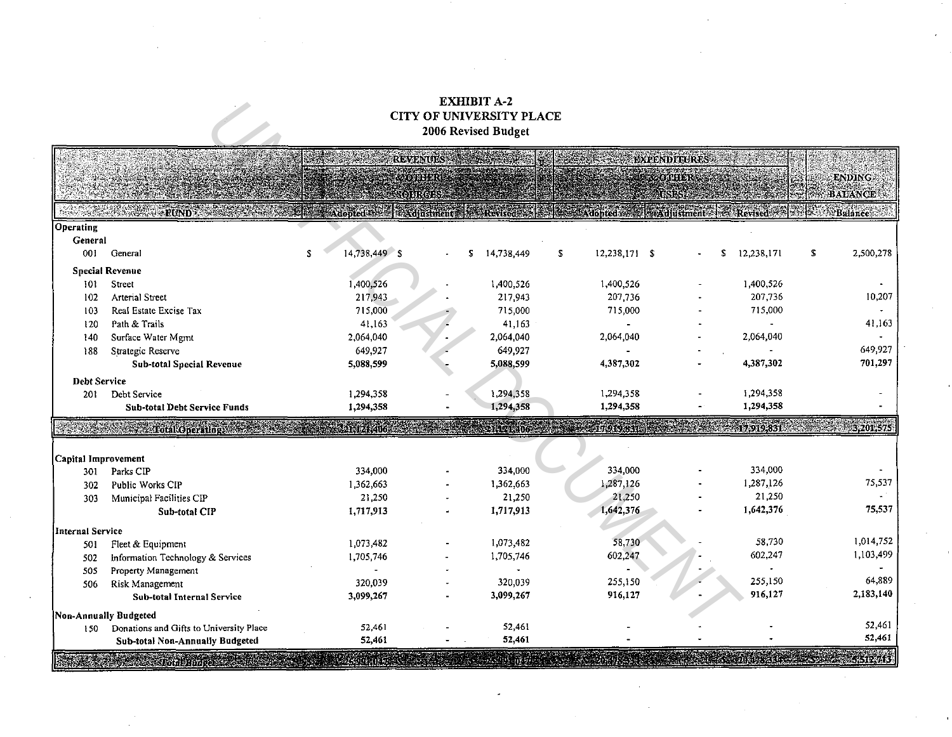## **EXHIBIT A-2** CITY OF UNIVERSITY PLACE 2006 Revised Budget

| Operating<br>General<br>001<br>General<br><b>Special Revenue</b><br>101<br><b>Street</b><br><b>Arterial Street</b><br>102<br>Real Estate Excise Tax<br>103<br>Path & Trails<br>120<br>Surface Water Mgmt<br>140<br>Strategic Reserve<br>188<br><b>Debt Service</b><br>Debt Service<br>201<br>Capital Improvement<br>Parks CIP<br>301<br><b>Public Works CIP</b><br>302<br>303<br><b>Internal Service</b> | <b><i>CONSTRUCTION AND STRUCTURES</i></b>  | \$<br>14,738,449 \$ | <b>REVENUES</b><br><b>CORSER</b><br>SOLIKOE! | 2 Adopted St. Adjustment & Revised & Adjustment Revised |                                         |               | <b>EXPENDITURES</b><br><b><i>COURS</i></b> |    |            | S.               | <b>ENDING:</b><br><b>BALANCE</b> |
|----------------------------------------------------------------------------------------------------------------------------------------------------------------------------------------------------------------------------------------------------------------------------------------------------------------------------------------------------------------------------------------------------------|--------------------------------------------|---------------------|----------------------------------------------|---------------------------------------------------------|-----------------------------------------|---------------|--------------------------------------------|----|------------|------------------|----------------------------------|
|                                                                                                                                                                                                                                                                                                                                                                                                          |                                            |                     |                                              |                                                         |                                         |               |                                            |    |            |                  |                                  |
|                                                                                                                                                                                                                                                                                                                                                                                                          |                                            |                     |                                              |                                                         |                                         |               |                                            |    |            |                  | Balance                          |
|                                                                                                                                                                                                                                                                                                                                                                                                          |                                            |                     |                                              |                                                         |                                         |               |                                            |    |            |                  |                                  |
|                                                                                                                                                                                                                                                                                                                                                                                                          |                                            |                     |                                              |                                                         |                                         |               |                                            |    |            |                  |                                  |
|                                                                                                                                                                                                                                                                                                                                                                                                          |                                            |                     |                                              | 14,738,449<br>S.                                        | s.                                      | 12,238,171 \$ |                                            | s. | 12,238,171 | s.               | 2,500,278                        |
|                                                                                                                                                                                                                                                                                                                                                                                                          |                                            |                     |                                              |                                                         |                                         |               |                                            |    |            |                  |                                  |
|                                                                                                                                                                                                                                                                                                                                                                                                          |                                            | 1,400,526           |                                              | 1,400,526                                               |                                         | 1,400,526     |                                            |    | 1,400,526  |                  |                                  |
|                                                                                                                                                                                                                                                                                                                                                                                                          |                                            | 217,943             |                                              | 217,943                                                 |                                         | 207,736       |                                            |    | 207,736    |                  | 10,207                           |
|                                                                                                                                                                                                                                                                                                                                                                                                          |                                            | 715,000             |                                              | 715,000                                                 |                                         | 715,000       |                                            |    | 715,000    |                  |                                  |
|                                                                                                                                                                                                                                                                                                                                                                                                          |                                            | 41,163              |                                              | 41,163                                                  |                                         |               |                                            |    |            |                  | 41,163                           |
|                                                                                                                                                                                                                                                                                                                                                                                                          |                                            | 2,064,040           |                                              | 2,064,040                                               |                                         | 2,064,040     |                                            |    | 2,064,040  |                  |                                  |
|                                                                                                                                                                                                                                                                                                                                                                                                          |                                            | 649,927             |                                              | 649,927                                                 |                                         |               |                                            |    |            |                  | 649,927                          |
|                                                                                                                                                                                                                                                                                                                                                                                                          | <b>Sub-total Special Revenue</b>           | 5,088,599           |                                              | 5,088,599                                               |                                         | 4,387,302     |                                            |    | 4,387,302  |                  | 701,297                          |
|                                                                                                                                                                                                                                                                                                                                                                                                          |                                            |                     |                                              |                                                         |                                         |               |                                            |    |            |                  |                                  |
|                                                                                                                                                                                                                                                                                                                                                                                                          |                                            | 1,294.358           |                                              | 1,294,358                                               |                                         | 1,294,358     |                                            |    | 1,294,358  |                  |                                  |
|                                                                                                                                                                                                                                                                                                                                                                                                          | <b>Sub-total Debt Service Funds</b>        | 1,294,358           |                                              | 1,294,358                                               |                                         | 1,294,358     |                                            |    | 1,294,358  |                  |                                  |
|                                                                                                                                                                                                                                                                                                                                                                                                          | <b>Excessive Cotal Operatings Services</b> | 21,121,406          |                                              | 121406                                                  |                                         | 55701013      |                                            |    |            |                  | 17,919,831 3,201,575             |
|                                                                                                                                                                                                                                                                                                                                                                                                          |                                            |                     |                                              |                                                         |                                         |               |                                            |    |            |                  |                                  |
|                                                                                                                                                                                                                                                                                                                                                                                                          |                                            |                     |                                              |                                                         |                                         |               |                                            |    |            |                  |                                  |
|                                                                                                                                                                                                                                                                                                                                                                                                          |                                            | 334,000             |                                              | 334,000                                                 |                                         | 334,000       |                                            |    | 334,000    |                  |                                  |
|                                                                                                                                                                                                                                                                                                                                                                                                          |                                            | 1,362,663           |                                              | 1,362,663                                               |                                         | 1,287,126     |                                            |    | 1,287,126  |                  | 75,537                           |
|                                                                                                                                                                                                                                                                                                                                                                                                          | Municipal Facilities CIP                   | 21,250              |                                              | 21,250                                                  |                                         | 21,250        |                                            |    | 21,250     |                  |                                  |
|                                                                                                                                                                                                                                                                                                                                                                                                          | Sub-total CIP                              | 1,717,913           |                                              | 1,717,913                                               |                                         | 1,642,376     |                                            |    | 1,642,376  |                  | 75,537                           |
|                                                                                                                                                                                                                                                                                                                                                                                                          |                                            |                     |                                              |                                                         |                                         |               |                                            |    |            |                  |                                  |
| 501                                                                                                                                                                                                                                                                                                                                                                                                      | Fleet & Equipment                          | 1,073,482           |                                              | 1,073,482                                               |                                         | 58,730        |                                            |    | 58,730     |                  | 1,014,752                        |
| 502                                                                                                                                                                                                                                                                                                                                                                                                      | Information Technology & Services          | 1,705,746           |                                              | 1,705,746                                               |                                         | 602,247       |                                            |    | 602,247    |                  | 1,103,499                        |
| 505                                                                                                                                                                                                                                                                                                                                                                                                      | Property Management                        |                     |                                              |                                                         |                                         |               |                                            |    |            |                  |                                  |
| Risk Management<br>506                                                                                                                                                                                                                                                                                                                                                                                   |                                            | 320,039             |                                              | 320,039                                                 |                                         | 255,150       |                                            |    | 255,150    |                  | 64,889                           |
|                                                                                                                                                                                                                                                                                                                                                                                                          | <b>Sub-total Internal Service</b>          | 3,099,267           |                                              | 3,099,267                                               |                                         | 916,127       |                                            |    | 916,127    |                  | 2,183,140                        |
| Non-Annually Budgeted                                                                                                                                                                                                                                                                                                                                                                                    |                                            |                     |                                              |                                                         |                                         |               |                                            |    |            |                  |                                  |
| 150                                                                                                                                                                                                                                                                                                                                                                                                      |                                            | 52,461              |                                              | 52,461                                                  |                                         |               |                                            |    |            |                  | 52,461                           |
|                                                                                                                                                                                                                                                                                                                                                                                                          | Donations and Gifts to University Place    | 52,461              |                                              | 52,461                                                  |                                         |               |                                            |    |            |                  | 52,461                           |
| <b>Andalum</b> eessa                                                                                                                                                                                                                                                                                                                                                                                     | Sub-total Non-Annually Budgeted            | <b>MARIE 2</b>      |                                              |                                                         | a de la construcción de la construcción |               |                                            |    |            | an an an Sealach | 5,512,713                        |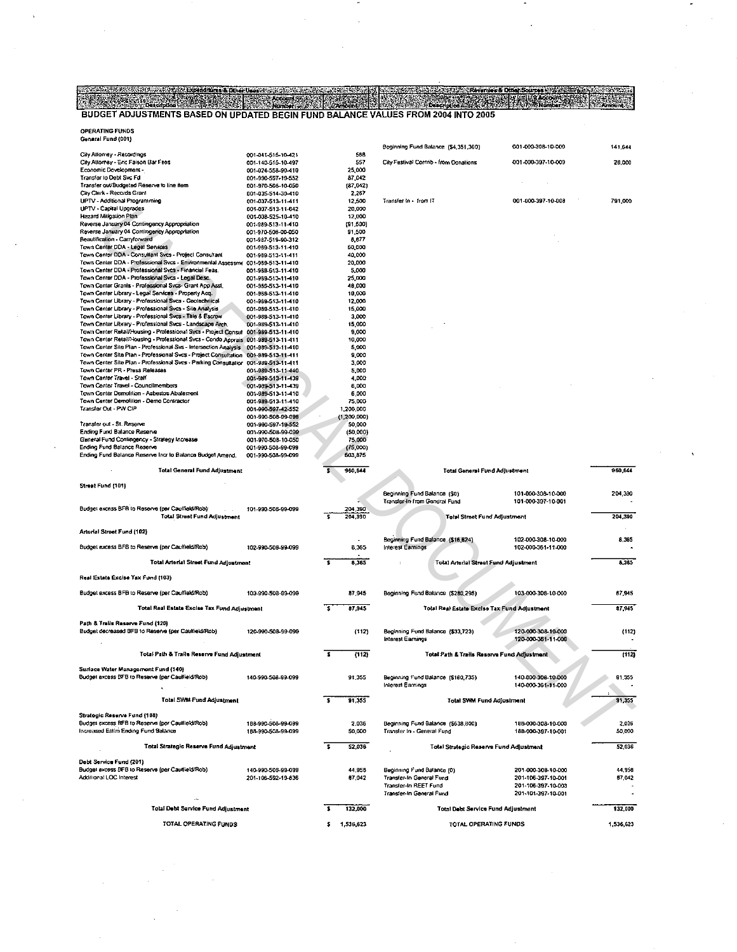BUDGET ADJUSTMENTS BASED ON UPDATED BEGIN FUND BALANCE VALUES FROM 2004 INTO 2005 *<u>Description</u>* 

OPERATING FUNDS

| General Fund (001)                                                                                                                        |                                          |                    | Beginning Fund Balance (\$4,351,360)         | 001-000-308-10-000 |
|-------------------------------------------------------------------------------------------------------------------------------------------|------------------------------------------|--------------------|----------------------------------------------|--------------------|
| City Attorney - Recordings                                                                                                                | 001-041-515-10-421                       | 568                |                                              |                    |
| City Attorney - Eric Faison Bar Fees<br>Economic Development -                                                                            | 001-140-515-10-497<br>001-024-558-90-410 | 557                | City Festival Contrib - from Donations       | 001-000-397-10-009 |
| Transfer to Debt Svc Fd                                                                                                                   | 001-990-597-19-552                       | 25,000<br>87,042   |                                              |                    |
| Transfer out/Budgeted Reserve to line item                                                                                                | 001-970-508-10-050                       | (87,042)           |                                              |                    |
| City Clerk - Records Grant                                                                                                                | 001-035-514-30-410                       | 2,267              |                                              |                    |
| UPTV - Additional Programming                                                                                                             | 001-037-513-11-411                       | 12,500             | Transfer in - from IT                        | 001-000-397-10-008 |
| UPTV - Capital Upgrades<br>Hazard Miligation Plan                                                                                         | 001-037-513-11-642<br>001-038-525-10-410 | 20,000<br>12,000   |                                              |                    |
| Reverse January 04 Contingency Appropriation                                                                                              | 001-989-513-11-410                       | (91,500)           |                                              |                    |
| Reverse January 04 Contingency Appropriation                                                                                              | 001-970-508-00-050                       | 91,500             |                                              |                    |
| Beautification - Carryforward                                                                                                             | 001 987 519 90 312                       | 8,877              |                                              |                    |
| Town Canter DOA - Legal Services                                                                                                          | 001-989-513-11-410                       | 50,000             |                                              |                    |
| Town Center DOA - Consultant Svcs - Project Consultant<br>Town Center DDA - Professional Svcs - Environmental Assessme 001-989-613-11-410 | 001-989-513-11-411                       | 40,000             |                                              |                    |
| Town Center DDA - Professional Svcs - Financial Feas.                                                                                     | 001-989-513-11-410                       | 20,000<br>5,000    |                                              |                    |
| Town Center DDA - Professional Svcs - Legal Desc.                                                                                         | 001-989-513-11-410                       | 25,000             |                                              |                    |
| Town Center Grants - Professional Svcs- Grant App Asst,                                                                                   | 001-989-513-11-410                       | 40,000             |                                              |                    |
| Town Center Library - Legal Services - Property Acq.                                                                                      | 001-989-513-11-410                       | 10,000             |                                              |                    |
| Town Center Library - Professional Svcs - Geolechnical                                                                                    | 001-989-513-11-410                       | 12,000             |                                              |                    |
| Town Center Library - Professional Sycs - Sile Analysis<br>Town Center Library - Professional Svcs - Title & Escrow                       | 001-989-513-11-410<br>001-989-513-11-410 | 15,000<br>3,000    |                                              |                    |
| Town Center Library - Professional Svcs - Landscape Arch.                                                                                 | 001-989-513-11-410                       | 15,000             |                                              |                    |
| Town Center Relail/Housing - Professional Swcs - Project Consul 001-989-513-11-410                                                        |                                          | 9,000              |                                              |                    |
| Town Center Retail/Housing - Professional Svcs - Condo Apprais 001-989-513-11-411                                                         |                                          | 10,000             |                                              |                    |
| Town Center Site Plan - Professional Svs - Intersection Analysis 001-989-513-11-410                                                       |                                          | 5,000              |                                              |                    |
| Town Center Site Plan - Professional Svcs - Project Consultation 001-989-513-11-411                                                       |                                          | 9,000              |                                              |                    |
| Town Center Site Plan - Professional Svcs - Parking Consultation 001-989-513-11-411<br>Town Center PR - Press Releases                    | 001-989-513-11-440                       | 3,000<br>5,000     |                                              |                    |
| Town Center Travel - Staff                                                                                                                | 001-989-513-11-439                       | 4,000              |                                              |                    |
| Town Center Travel - Councilmembers                                                                                                       | 001-989-513-11-439                       | 6,000              |                                              |                    |
| Town Center Demolition - Asbestos Abatement                                                                                               | 001-989-513-11-410                       | 6,000              |                                              |                    |
| Town Center Demolition - Demo Contractor                                                                                                  | 001-989-513-11-410                       | 75,000             |                                              |                    |
| Transfer Out - PW CIP                                                                                                                     | 001-990-597-42-552                       | 1,200,000          |                                              |                    |
|                                                                                                                                           | 001-990-508-99-099                       | (1,200,000)        |                                              |                    |
| Transfer out - St. Reserve<br>Ending Fund Balance Reserve                                                                                 | 001-990-597-19-552<br>001-990-508-99-099 | 50,000<br>(50,000) |                                              |                    |
| General Fund Contingency - Strategy Increase                                                                                              | 001-970-508-10-050                       | 75,000             |                                              |                    |
| Ending Fund Balance Reserve                                                                                                               | 001-990-508-99-099                       | (75,000)           |                                              |                    |
| Ending Fund Balance Reserve Incr to Balance Budget Amend.                                                                                 | 001-990-508-99-099                       | 503,875            |                                              |                    |
| Total General Fund Adjustment                                                                                                             |                                          | 960,644            | Total General Fund Adjustment                |                    |
|                                                                                                                                           |                                          |                    |                                              |                    |
| Street Fund (101)                                                                                                                         |                                          |                    |                                              |                    |
|                                                                                                                                           |                                          |                    | Beginning Fund Balance (\$0)                 | 101-000-308-10-000 |
|                                                                                                                                           |                                          |                    |                                              |                    |
|                                                                                                                                           |                                          |                    | Transfer-In from General Fund                | 101-000-397-10-001 |
| Budget excess BFB to Reserve (per Caulfield/Rob)<br><b>Total Street Fund Adjustment</b>                                                   | 101-990-508-99-099                       | 204,390<br>204,390 |                                              |                    |
|                                                                                                                                           |                                          |                    | Total Street Fund Adjustment                 |                    |
| Arterial Street Fund (102)                                                                                                                |                                          |                    |                                              |                    |
|                                                                                                                                           |                                          |                    | Beginning Fund Balance (\$16,524)            | 102-000-308-10-000 |
| Budget excess BFS to Reserve (per Caulfield/Rob)                                                                                          | 102-990-508-99-099                       | 8,365              | Interest Earnings                            | 102-000-361-11-000 |
| Total Arterial Street Fund Adjustment                                                                                                     |                                          | 3<br>8,365         | Total Arterial Street Fund Adjustment        |                    |
|                                                                                                                                           |                                          |                    |                                              |                    |
| Real Estate Excise Tax Fund (103)                                                                                                         |                                          |                    |                                              |                    |
| Budget excess BFB to Reserve (per Caulfield/Rob).                                                                                         | 103-990-508-99-099                       | 87,945             | Beginning Fund Balance (\$280,295)           | 103-000-308-10-000 |
| Total Real Estate Excise Tax Fund Adjustment                                                                                              |                                          | s.<br>87,945       | Total Real Estate Excise Tax Fund Adjustment |                    |
|                                                                                                                                           |                                          |                    |                                              |                    |
| Path & Trails Reserve Fund (120)                                                                                                          |                                          |                    |                                              |                    |
| Budget decreased BFB to Reserve (per Caultiekt/Rob)                                                                                       | 120-990-508-99-099                       | (112)              | Beginning Fund Balance (\$33,723)            | 120-000-308-10-000 |
|                                                                                                                                           |                                          |                    | Interest Earnings                            | 120-000-361-11-000 |
| Total Path & Trails Reserve Fund Adjustment                                                                                               |                                          | s<br>(112)         | Total Path & Trails Reserve Fund Adjustment  |                    |
|                                                                                                                                           |                                          |                    |                                              |                    |
| Surface Water Management Fund (140)                                                                                                       |                                          |                    |                                              |                    |
| Budget excess BFB to Reserve (per Caulfield/Rob)                                                                                          | 140-990-508-99-099                       | 91.355             | Beginning Fund Balance (\$160,735)           | 140-000-308-10-000 |
|                                                                                                                                           |                                          |                    | Interest Earnings                            | 140-000-361-11-000 |
| Total SWM Fund Adjustment                                                                                                                 |                                          |                    |                                              |                    |
|                                                                                                                                           |                                          | 91,355             | Tolal SWM Fund Adjustment                    |                    |
| Strategic Reserve Fund (188)                                                                                                              |                                          |                    |                                              |                    |
| Budget excess BFB to Reserve (per Caulfield/Rob)                                                                                          | 188-990-508-99-099                       | 2,036              | Beginning Fund Balance (\$638,800)           | 188-000-308-10-000 |
| Increased Estim Ending Fund Balance                                                                                                       | 188-990-508-99-099                       | 50,000             | Transfer In - General Fund                   | 188-000-397-10-001 |
|                                                                                                                                           |                                          | s.                 |                                              |                    |
| Total Strategic Reserve Fund Adjustment                                                                                                   |                                          | 52,038             | Total Strategic Reserve Fund Adjustment      |                    |
| Debt Service Fund (201)                                                                                                                   |                                          |                    |                                              |                    |
| Budgel excess BFB to Reserve (per Caulfield/Rob)                                                                                          | 140-990-508-99-099                       | 44,958             | Beginning Fund Balance (0)                   | 201-000-308-10-000 |
| Additional LOC Interest                                                                                                                   | 201-106-592-19-836                       | 87,042             | Transfer-In General Fund                     | 201-106-397-10-001 |
|                                                                                                                                           |                                          |                    | Transfer-In REET Fund                        | 201-106-397-10-003 |
|                                                                                                                                           |                                          |                    | Transfer-In General Fund                     | 201-101-397-10-001 |
| Total Debt Service Fund Adjustment                                                                                                        |                                          | 132,000            | Total Debt Service Fund Adjustment           |                    |
| TOTAL OPERATING FUNDS                                                                                                                     |                                          | 1,536,623          | TOTAL OPERATING FUNDS                        |                    |

01-000-397-10-009 28,000 1-000-397-10-008

3). LA

791,000

960,644

Anii K

141,644

| Beginning Fund Balance (\$0)<br>Transfer-In from General Fund                                               | 101-000-308-10-000<br>101-000-397-10-001                                             | 204,330          |
|-------------------------------------------------------------------------------------------------------------|--------------------------------------------------------------------------------------|------------------|
| <b>Total Street Fund Adjustment</b>                                                                         |                                                                                      | 204.390          |
| Beginning Fund Balance (\$16,524)<br>Interest Earnings                                                      | 102-000-308-10-000<br>102-008-361-11-008                                             | 8,365            |
| <b>Total Arterial Street Fund Adjustment</b><br>÷                                                           |                                                                                      | 8.365            |
| Beginning Fund Balance (\$280,295)                                                                          | 103-000-308-10-000                                                                   | 87.945           |
| Total Real Estate Excise Tax Fund Adjustment                                                                |                                                                                      | 87.945           |
| Beginning Fund Balance (\$33,723)<br>Interest Earnings                                                      | 120-000-308-10-000<br>120-000-361-11-000                                             | (112)            |
| Total Path & Trails Reserve Fund Adjustment                                                                 |                                                                                      | (112)            |
| Beginning Fund Balance (\$160,735)<br>Interest Earnings                                                     | 140-000-308-10-000<br>140-000-361-11-000                                             | 91.355           |
| Tolal SWM Fund Adjustment                                                                                   |                                                                                      | 91.355           |
| Beginning Fund Balance (\$638,800)<br>Transfer In - General Fund                                            | 188-000-308-10-000<br>188-000-397-10-001                                             | 2.036<br>50,000  |
| Total Strategic Reserve Fund Adjustment                                                                     |                                                                                      | 52,036           |
| Beginning Fund Balance (0)<br>Transfer-In General Fund<br>Transfer-In REET Fund<br>Transfer-In General Fund | 201-000-308-10-000<br>201-106-397-10-001<br>201-105-397-10-003<br>201-101-397-10-001 | 44,958<br>07.042 |

132,000 1,536,623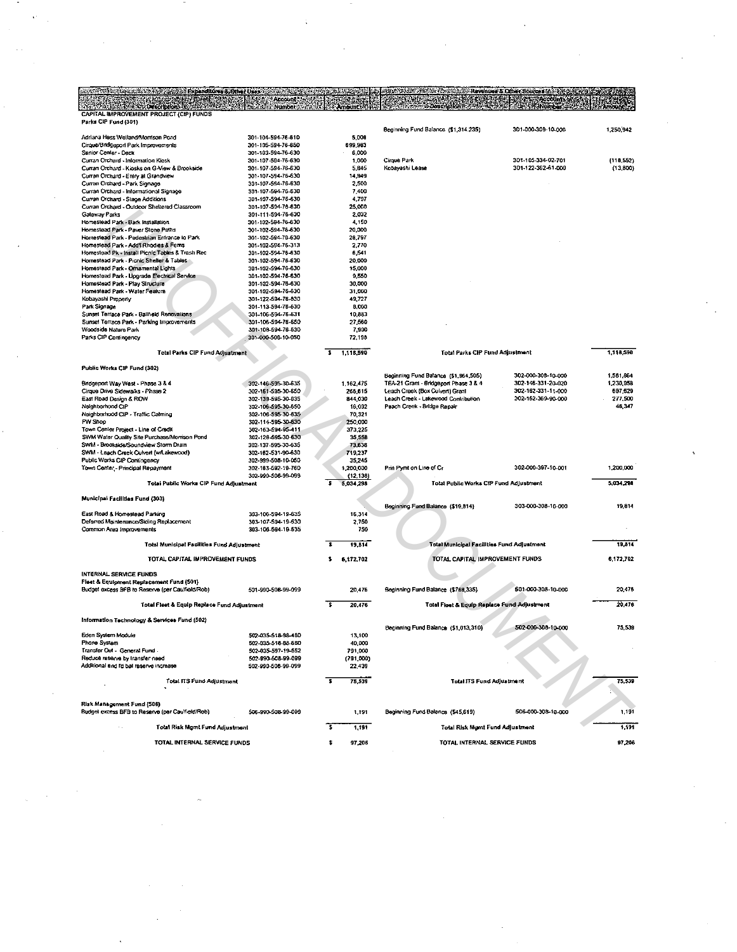| of the material control of the state Expanditure & Other Uses control of the Section of the Section | Account                                  |                              | WELFALLE ASSOCIATED                                                           | Revenues & Other Sources & Set 2015AM    |                        |
|-----------------------------------------------------------------------------------------------------|------------------------------------------|------------------------------|-------------------------------------------------------------------------------|------------------------------------------|------------------------|
| <b>Washington October</b><br>CAPITAL IMPROVEMENT PROJECT (CIP) FUNDS                                | - Number 5                               | American Control             |                                                                               |                                          |                        |
| Parks CIP Fund (301)                                                                                |                                          |                              | Beginning Fund Balance (\$1,314.235)                                          | 301-000-308-10-000                       | 1,250,942              |
| Adriana Hess Welland/Morrison Pond                                                                  | 301-104-594-76-610                       | 5,008                        |                                                                               |                                          |                        |
| Cirque/Bridgeport Park Improvements<br>Senior Center - Deck                                         | 301-105-594-76-650<br>301-103-594-76-630 | 699,983<br>6,000             |                                                                               |                                          |                        |
| Curran Orchard - Information Kiosk                                                                  | 301-107-594-76-630                       | 1,000                        | Cirque Park                                                                   | 301-105-334-02-701                       | ${118,552}$            |
| Curran Orchard - Kiosks on G-View & Brookside                                                       | 301-107-594-76-630                       | 5,845                        | Kobayashi Lease                                                               | 301-122-362-61-000                       | (13,800)               |
| Curran Orchard - Entry at Grandview<br>Curran Orchard - Park Signage                                | 301-107-594-76-630<br>301-107-594-76-630 | 14,949<br>2,500              |                                                                               |                                          |                        |
| Curran Orchard - Informational Signage                                                              | 301-107-594-76-630                       | 7,400                        |                                                                               |                                          |                        |
| Curran Orchard - Stage Additions                                                                    | 301-107-594-75-630                       | 4,797                        |                                                                               |                                          |                        |
| Curran Orchard - Outdoor Sheltered Classroom<br>Gateway Parks                                       | 301-107-594-76-630<br>301-111-594-76-630 | 25,000<br>2,032              |                                                                               |                                          |                        |
| Homeslead Park - Bark Installation                                                                  | 301-102-594-76-630                       | 4,150                        |                                                                               |                                          |                        |
| Homestead Park - Paver Stone Paths                                                                  | 301-102-594-76-630                       | 20,000                       |                                                                               |                                          |                        |
| Homestead Park - Pedestrian Entrance to Park                                                        | 301-102-594-76-630                       | 28,797                       |                                                                               |                                          |                        |
| Homestead Park - Add'l Rhodies & Fems<br>Homestead Pk - Install Picnic Tables & Trash Rec           | 301-102-594-76-313<br>301-102-594-76-630 | 2,770<br>5,541               |                                                                               |                                          |                        |
| Homestead Park - Picnic Sheller & Tables                                                            | 301-102-594-76-630                       | 20,000                       |                                                                               |                                          |                        |
| Homestead Park - Ornamental Lights                                                                  | 301-102-594-76-630                       | 15,000                       |                                                                               |                                          |                        |
| Homestead Park - Upgrade Electrical Service<br>Homestead Park - Play Structure                      | 301-102-594-76-630<br>301-102-594-76-630 | 9,550<br>30,000              |                                                                               |                                          |                        |
| Homestead Park - Water Feature                                                                      | 301-102-594-76-630                       | 31,000                       |                                                                               |                                          |                        |
| Kobayashi Property                                                                                  | 301-122-594-76-830                       | 49,727                       |                                                                               |                                          |                        |
| Park Signage<br>Sunset Terrace Park - Ballfield Renovations                                         | 301-113-594-76-630<br>301-106-594-76-631 | 8,000<br>10,883              |                                                                               |                                          |                        |
| Sunset Temace Park - Parking Improvements                                                           | 301-105-594-76-650                       | 27,560                       |                                                                               |                                          |                        |
| Woodside Nature Park                                                                                | 301-108-594-76-630                       | 7,900                        |                                                                               |                                          |                        |
| Parks CIP Contingency                                                                               | 301-000-508-10-050                       | 72,198                       |                                                                               |                                          |                        |
| Total Parks CIP Fund Adjustment                                                                     |                                          | $5 - 1,118,590$              | <b>Total Parks CIP Fund Adjustment</b>                                        |                                          | 1,118,590              |
| Public Works CIP Fund (302)                                                                         |                                          |                              |                                                                               |                                          |                        |
| Bridgeport Way West - Phase 3 & 4                                                                   | 302-146-595-30-635                       | 1,162,475                    | Beginning Fund Balance (\$1,954,505)<br>TEA-21 Grant - Bridgeport Phase 3 & 4 | 302-000-308-10-000<br>302-146-331-20-020 | 1,581,864<br>1,230,958 |
| Cirque Drive Sidewalks - Phase 2                                                                    | 302-161-595-30-650                       | 266,615                      | Leach Creek (Box Cuivert) Grant                                               | 302-162-331-11-000                       | 697,629                |
| East Road Design & ROW                                                                              | 302-139-595-30-635                       | 844,030                      | Leach Creek - Lakewood Contribution                                           | 302-162-369-90-000                       | 277,500                |
| Neighborhood CIP                                                                                    | 302-106-595-30-650                       | 16,092                       | Peach Creek - Sridge Repair                                                   |                                          | 46,347                 |
| Neighborhood CIP - Traffic Calming<br>PW Shop                                                       | 302-106-595-30-635<br>302-114-595-30-630 | 70,321<br>250,000            |                                                                               |                                          |                        |
| Town Center Project - Line of Credit                                                                | 302-163-594-95-411                       | 373,225                      |                                                                               |                                          |                        |
| SWM Water Quality Site Purchase/Morrison Pond                                                       | 302-126-595-30-630                       | 35,55B                       |                                                                               |                                          |                        |
| SWM - Brookside/Soundview Storm Drain<br>SWM - Leach Creek Culvert (w/Lakewood)                     | 302-137-595-30-635<br>302-162-531-90-630 | 73,636<br>719,237            |                                                                               |                                          |                        |
| Public Works CIP Contingency                                                                        | 302-999-508-10-050                       | 35,245                       |                                                                               |                                          |                        |
| Town Center - Principal Repayment                                                                   | 302-163-592-19-760                       | 1,200,000                    | Prin Pymt on Line of Cr                                                       | 302-000-397-10-001                       | 1,200,000              |
| Total Public Works CIP Fund Adjustment                                                              | 302-990-508-99-099                       | (12, 138)<br>з.<br>5,034,298 | Total Public Works CIP Fund Adjustment                                        |                                          | 5,034,298              |
| Municipal Facilities Fund (303)                                                                     |                                          |                              |                                                                               |                                          |                        |
|                                                                                                     |                                          |                              | Beginning Fund Balance (\$19,814)                                             | 303-000-308-10-000                       | 19,814                 |
| East Road & Homestead Parking<br>Deferred Maintenance/Siding Replacement                            | 303-106-594-19-635<br>303-107-594-19-630 | 16,314<br>2,750              |                                                                               |                                          |                        |
| Common Area improvements                                                                            | 303-106-594-19-635                       | 750                          |                                                                               |                                          |                        |
| Total Municipal Facilities Fund Adjustment                                                          |                                          |                              |                                                                               |                                          | 19,814                 |
|                                                                                                     |                                          | 19,814                       | <b>Total Municipal Facilities Fund Adjustment</b>                             |                                          |                        |
| TOTAL CAPITAL IMPROVEMENT FUNDS                                                                     |                                          | \$.<br>6.172.702             | TOTAL CAPITAL IMPROVEMENT FUNDS                                               |                                          | 6,172,702              |
| INTERNAL SERVICE FUNDS<br>Fleet & Equipment Replacement Fund (501)                                  |                                          |                              |                                                                               |                                          |                        |
| Budget excess BFB to Reserve (per Caulfield/Rob)                                                    | 501-990-508-99-099                       | 20,476                       | Beginning Fund Balance (\$788,335)                                            | 501-000-308-10-000                       | 20,476                 |
|                                                                                                     |                                          |                              |                                                                               |                                          |                        |
| Total Fleet & Equip Replace Fund Adjustment                                                         |                                          | 7<br>20,476                  | Total Fleet & Equip Replace Fund Adjustment                                   |                                          | 20,478                 |
| Information Technology & Services Fund (502)                                                        |                                          |                              | Beginning Fund Balance (\$1,013,310)                                          | 502-000-308-10-000                       | 75,539                 |
| Eden System Module<br>Phone System                                                                  | 502-035-518-88-460<br>502-035-518-88-680 | 13,100                       |                                                                               |                                          |                        |
| Transfer Out - General Fund                                                                         | 502-035-597-19-552                       | 40,000<br>791,000            |                                                                               |                                          |                        |
| Reduce reserve by transfer need                                                                     | 502-990-508-99-099                       | (791,000)                    |                                                                               |                                          |                        |
| Additional and I'd bal reserve increase                                                             | 502-990-508-99-099                       | 22,439                       |                                                                               |                                          |                        |
| Total ITS Fund Adjustment                                                                           |                                          | 75,539<br>ड                  | Total ITS Fund Adjustment                                                     |                                          | 75,539                 |
|                                                                                                     |                                          |                              |                                                                               |                                          |                        |
| Risk Management Fund (506)<br>Budget excess BFB to Reserve (per Caulfield/Rob)                      | 506-990-508-99-099                       | 1,191                        | Beginning Fund Balanca (\$45,619)                                             | 506-000-308-10-000                       | 1,191                  |
|                                                                                                     |                                          |                              |                                                                               |                                          |                        |
| $\mathcal{L}_{\rm eff}$                                                                             |                                          |                              |                                                                               |                                          |                        |
| Total Risk Mgmt Fund Adjustment<br>TOTAL INTERNAL SERVICE FUNDS                                     |                                          | т.<br>1,191<br>s<br>97,206   | Total Risk Mgmt Fund Adjustment<br>TOTAL INTERNAL SERVICE FUNDS               |                                          | 1,191<br>97,206        |

 $\label{eq:2.1} \frac{1}{\sqrt{2\pi}}\int_{0}^{\infty}\frac{1}{\sqrt{2\pi}}\left(\frac{1}{\sqrt{2\pi}}\right)^{2\sqrt{2}}\frac{1}{\sqrt{2\pi}}\int_{0}^{\infty}\frac{1}{\sqrt{2\pi}}\left(\frac{1}{\sqrt{2\pi}}\right)^{2\sqrt{2}}\frac{1}{\sqrt{2\pi}}\frac{1}{\sqrt{2\pi}}\int_{0}^{\infty}\frac{1}{\sqrt{2\pi}}\frac{1}{\sqrt{2\pi}}\frac{1}{\sqrt{2\pi}}\frac{1}{\sqrt{2\pi}}\frac{1}{\sqrt{2\pi}}\frac{1$